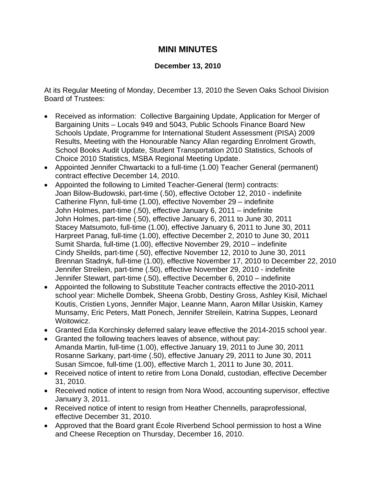## **MINI MINUTES**

## **December 13, 2010**

At its Regular Meeting of Monday, December 13, 2010 the Seven Oaks School Division Board of Trustees:

- Received as information: Collective Bargaining Update, Application for Merger of Bargaining Units – Locals 949 and 5043, Public Schools Finance Board New Schools Update, Programme for International Student Assessment (PISA) 2009 Results, Meeting with the Honourable Nancy Allan regarding Enrolment Growth, School Books Audit Update, Student Transportation 2010 Statistics, Schools of Choice 2010 Statistics, MSBA Regional Meeting Update.
- Appointed Jennifer Chwartacki to a full-time (1.00) Teacher General (permanent) contract effective December 14, 2010.
- Appointed the following to Limited Teacher-General (term) contracts: Joan Bilow-Budowski, part-time (.50), effective October 12, 2010 - indefinite Catherine Flynn, full-time (1.00), effective November 29 – indefinite John Holmes, part-time (.50), effective January 6, 2011 – indefinite John Holmes, part-time (.50), effective January 6, 2011 to June 30, 2011 Stacey Matsumoto, full-time (1.00), effective January 6, 2011 to June 30, 2011 Harpreet Panag, full-time (1.00), effective December 2, 2010 to June 30, 2011 Sumit Sharda, full-time (1.00), effective November 29, 2010 – indefinite Cindy Sheilds, part-time (.50), effective November 12, 2010 to June 30, 2011 Brennan Stadnyk, full-time (1.00), effective November 17, 2010 to December 22, 2010 Jennifer Streilein, part-time (.50), effective November 29, 2010 - indefinite Jennifer Stewart, part-time (.50), effective December 6, 2010 – indefinite
- Appointed the following to Substitute Teacher contracts effective the 2010-2011 school year: Michelle Dombek, Sheena Grobb, Destiny Gross, Ashley Kisil, Michael Koutis, Cristien Lyons, Jennifer Major, Leanne Mann, Aaron Millar Usiskin, Kamey Munsamy, Eric Peters, Matt Ponech, Jennifer Streilein, Katrina Suppes, Leonard Woitowicz.
- Granted Eda Korchinsky deferred salary leave effective the 2014-2015 school year.
- Granted the following teachers leaves of absence, without pay: Amanda Martin, full-time (1.00), effective January 19, 2011 to June 30, 2011 Rosanne Sarkany, part-time (.50), effective January 29, 2011 to June 30, 2011 Susan Simcoe, full-time (1.00), effective March 1, 2011 to June 30, 2011.
- Received notice of intent to retire from Lona Donald, custodian, effective December 31, 2010.
- Received notice of intent to resign from Nora Wood, accounting supervisor, effective January 3, 2011.
- Received notice of intent to resign from Heather Chennells, paraprofessional, effective December 31, 2010.
- Approved that the Board grant École Riverbend School permission to host a Wine and Cheese Reception on Thursday, December 16, 2010.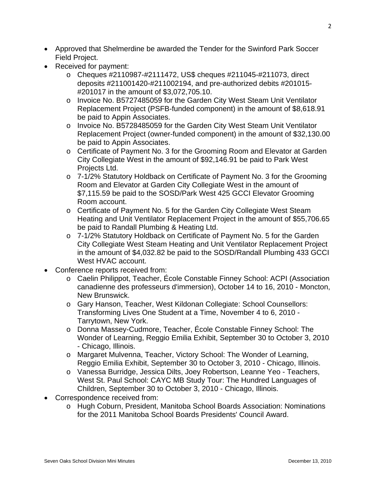- Approved that Shelmerdine be awarded the Tender for the Swinford Park Soccer Field Project.
- Received for payment:
	- o Cheques #2110987-#2111472, US\$ cheques #211045-#211073, direct deposits #211001420-#211002194, and pre-authorized debits #201015- #201017 in the amount of \$3,072,705.10.
	- o Invoice No. B5727485059 for the Garden City West Steam Unit Ventilator Replacement Project (PSFB-funded component) in the amount of \$8,618.91 be paid to Appin Associates.
	- o Invoice No. B5728485059 for the Garden City West Steam Unit Ventilator Replacement Project (owner-funded component) in the amount of \$32,130.00 be paid to Appin Associates.
	- o Certificate of Payment No. 3 for the Grooming Room and Elevator at Garden City Collegiate West in the amount of \$92,146.91 be paid to Park West Projects Ltd.
	- o 7-1/2% Statutory Holdback on Certificate of Payment No. 3 for the Grooming Room and Elevator at Garden City Collegiate West in the amount of \$7,115.59 be paid to the SOSD/Park West 425 GCCI Elevator Grooming Room account.
	- o Certificate of Payment No. 5 for the Garden City Collegiate West Steam Heating and Unit Ventilator Replacement Project in the amount of \$55,706.65 be paid to Randall Plumbing & Heating Ltd.
	- o 7-1/2% Statutory Holdback on Certificate of Payment No. 5 for the Garden City Collegiate West Steam Heating and Unit Ventilator Replacement Project in the amount of \$4,032.82 be paid to the SOSD/Randall Plumbing 433 GCCI West HVAC account.
- Conference reports received from:
	- o Caelin Philippot, Teacher, École Constable Finney School: ACPI (Association canadienne des professeurs d'immersion), October 14 to 16, 2010 - Moncton, New Brunswick.
	- o Gary Hanson, Teacher, West Kildonan Collegiate: School Counsellors: Transforming Lives One Student at a Time, November 4 to 6, 2010 - Tarrytown, New York.
	- o Donna Massey-Cudmore, Teacher, École Constable Finney School: The Wonder of Learning, Reggio Emilia Exhibit, September 30 to October 3, 2010 - Chicago, Illinois.
	- o Margaret Mulvenna, Teacher, Victory School: The Wonder of Learning, Reggio Emilia Exhibit, September 30 to October 3, 2010 - Chicago, Illinois.
	- o Vanessa Burridge, Jessica Dilts, Joey Robertson, Leanne Yeo Teachers, West St. Paul School: CAYC MB Study Tour: The Hundred Languages of Children, September 30 to October 3, 2010 - Chicago, Illinois.
- Correspondence received from:
	- o Hugh Coburn, President, Manitoba School Boards Association: Nominations for the 2011 Manitoba School Boards Presidents' Council Award.